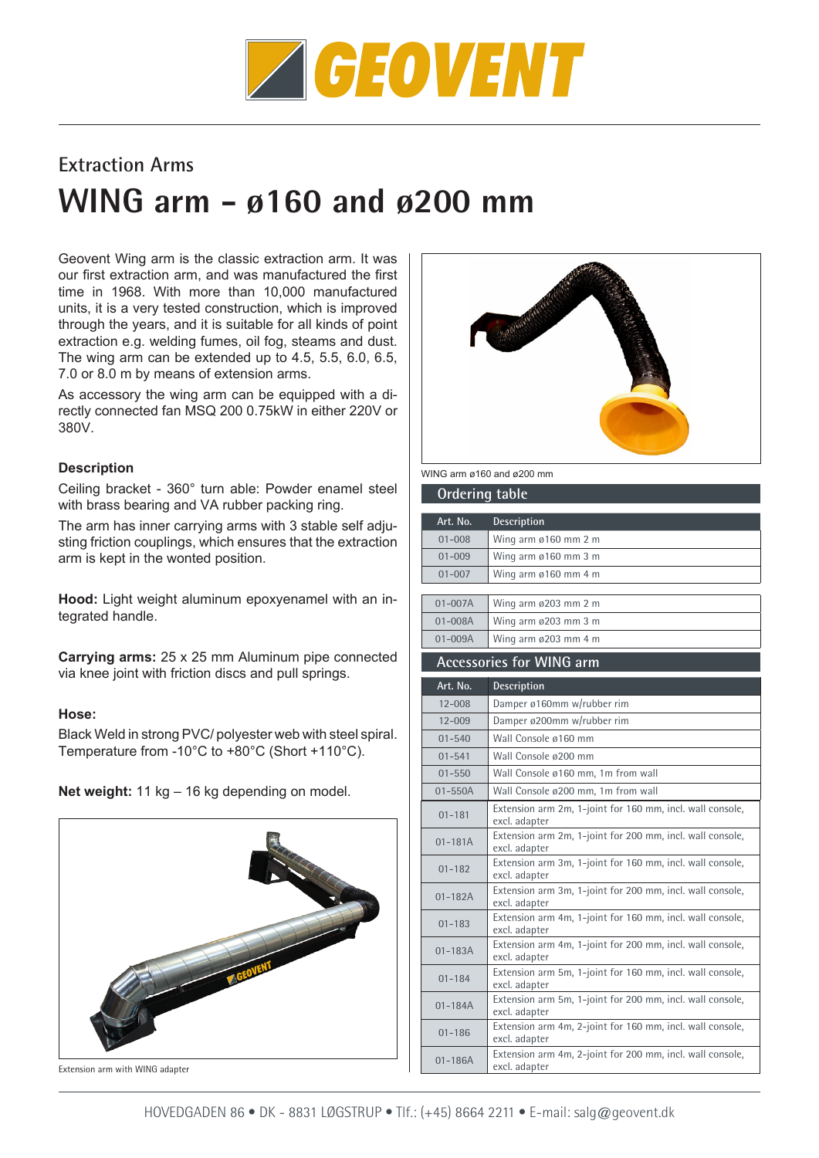

## **Extraction Arms**

# **WING arm - ø160 and ø200 mm**

Geovent Wing arm is the classic extraction arm. It was our first extraction arm, and was manufactured the first time in 1968. With more than 10,000 manufactured units, it is a very tested construction, which is improved through the years, and it is suitable for all kinds of point extraction e.g. welding fumes, oil fog, steams and dust. The wing arm can be extended up to 4.5, 5.5, 6.0, 6.5, 7.0 or 8.0 m by means of extension arms.

As accessory the wing arm can be equipped with a directly connected fan MSQ 200 0.75kW in either 220V or 380V.

#### **Description**

Ceiling bracket - 360° turn able: Powder enamel steel with brass bearing and VA rubber packing ring.

The arm has inner carrying arms with 3 stable self adjusting friction couplings, which ensures that the extraction arm is kept in the wonted position.

**Hood:** Light weight aluminum epoxyenamel with an integrated handle.

**Carrying arms:** 25 x 25 mm Aluminum pipe connected via knee joint with friction discs and pull springs.

#### **Hose:**

Black Weld in strong PVC/ polyester web with steel spiral. Temperature from -10°C to +80°C (Short +110°C).

**Net weight:** 11 kg – 16 kg depending on model.



Extension arm with WING adapter



WING arm ø160 and ø200 mm

| <b>Ordering table</b>           |                                                                            |
|---------------------------------|----------------------------------------------------------------------------|
| Art. No.                        | <b>Description</b>                                                         |
| $01 - 008$                      | Wing arm ø160 mm 2 m                                                       |
| $01 - 009$                      | Wing arm $\emptyset$ 160 mm 3 m                                            |
| $01 - 007$                      | Wing arm ø160 mm 4 m                                                       |
| $01 - 007A$                     | Wing arm ø203 mm 2 m                                                       |
| $01 - 008A$                     | Wing arm ø203 mm 3 m                                                       |
| $01 - 009A$                     | Wing arm ø203 mm 4 m                                                       |
| <b>Accessories for WING arm</b> |                                                                            |
| Art. No.                        | <b>Description</b>                                                         |
| $12 - 008$                      | Damper ø160mm w/rubber rim                                                 |
| $12 - 009$                      | Damper ø200mm w/rubber rim                                                 |
| $01 - 540$                      | Wall Console ø160 mm                                                       |
| $01 - 541$                      | Wall Console ø200 mm                                                       |
| $01 - 550$                      | Wall Console ø160 mm, 1m from wall                                         |
| $01 - 550A$                     | Wall Console ø200 mm, 1m from wall                                         |
| $01 - 181$                      | Extension arm 2m, 1-joint for 160 mm, incl. wall console,<br>excl. adapter |
| $01 - 181A$                     | Extension arm 2m, 1-joint for 200 mm, incl. wall console,<br>excl. adapter |
| $01 - 182$                      | Extension arm 3m, 1-joint for 160 mm, incl. wall console,<br>excl. adapter |
| $01 - 182A$                     | Extension arm 3m, 1-joint for 200 mm, incl. wall console,<br>excl. adapter |
| $01 - 183$                      | Extension arm 4m, 1-joint for 160 mm, incl. wall console,<br>excl. adapter |
| $01 - 183A$                     | Extension arm 4m, 1-joint for 200 mm, incl. wall console,<br>excl. adapter |
| $01 - 184$                      | Extension arm 5m, 1-joint for 160 mm, incl. wall console,<br>excl. adapter |
| $01 - 184A$                     | Extension arm 5m, 1-joint for 200 mm, incl. wall console,<br>excl. adapter |
| $01 - 186$                      | Extension arm 4m, 2-joint for 160 mm, incl. wall console,<br>excl. adapter |
| $01 - 186A$                     | Extension arm 4m, 2-joint for 200 mm, incl. wall console,<br>excl. adapter |